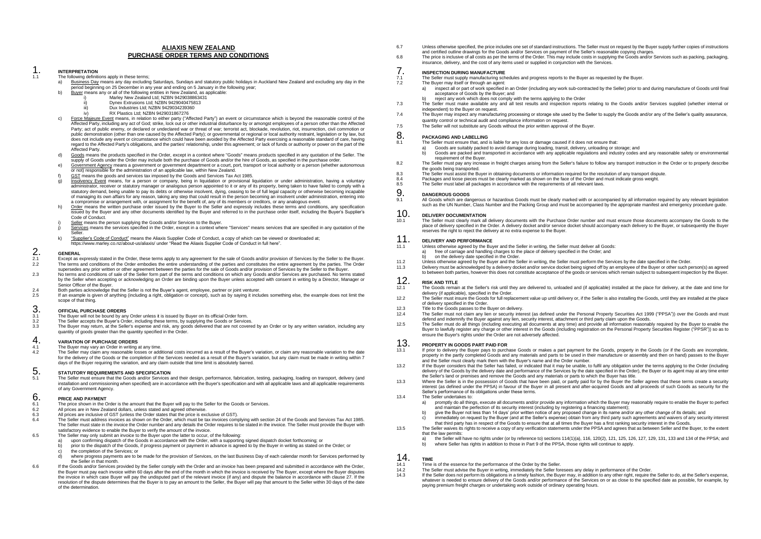#### **ALIAXIS NEW ZEALAND PURCHASE ORDER TERMS AND CONDITIONS**

#### 1. **INTERPRETATION**

The following definitions apply in these terms;<br> $\frac{1}{2}$ . Business Day means any day excluding

- a) Business Day means any day excluding Saturdays, Sundays and statutory public holidays in Auckland New Zealand and excluding any day in the period beginning on 25 December in any year and ending on 5 January in the following year;
- b) <u>Buyer</u> means any or all of the following entities in New Zealand, as applicable:<br>i) Marley New Zealand Ltd; NZBN 9429038863431
	-
	- iviariey New Zealand Ltd; NZBN 942903000094 iii) Dux Industries Ltd; NZBN 9429034239360
	- **EX Plastics Ltd: NZBN 9429031867276**
- c) Force Majeure Event means, in relation to either party ("Affected Party") an event or circumstance which is beyond the reasonable control of the Affected Party, including any act of God; strike, lock out or other industrial disturbance by or amongst employees of a person other than the Affected Party; act of public enemy, or declared or undeclared war or threat of war; terrorist act, blockade, revolution, riot, insurrection, civil commotion or public demonstration (other than one caused by the Affected Party); or governmental or regional or local authority restraint, legislation or by law, but does not include any event or circumstance which could have been avoided by the Affected Party exercising a reasonable standard of care, having regard to the Affected Party's obligations, and the parties' relationship, under this agreement; or lack of funds or authority or power on the part of the Affected Party.
- d) Goods means the products specified in the Order, except in a context where "Goods" means products specified in any quotation of the Seller. The supply of Goods under the Order may include both the purchase of Goods and/or the hire of Goods, as specified in the purchase order.
- e) Government Agency means a government or government department or a court, port, transport or local authority or a person (whether autonomous or not) responsible for the administration of an applicable law, within New Zealand.
- GST means the goods and services tax imposed by the Goods and Services Tax Act 1985.
- Insolvency Event means, for a person or company, being in liquidation or provisional liquidation or under administration, having a voluntary administrator, receiver or statutory manager or analogous person appointed to it or any of its property, being taken to have failed to comply with a<br>statutory demand, being unable to pay its debts or otherwise insolvent, d of managing its own affairs for any reason, taking any step that could result in the person becoming an insolvent under administration, entering into a compromise or arrangement with, or assignment for the benefit of, any of its members or creditors, or any analogous event.
- h) Order means the written purchase order issued by the Buyer to the Seller and expressly includes these terms and conditions, any specification issued by the Buyer and any other documents identified by the Buyer and referred to in the purchase order itself, including the Buyer's Supplier's Code of Conduct.
- Seller means the person supplying the Goods and/or Services to the Buyer.
- j) Services means the services specified in the Order, except in a context where "Services" means services that are specified in any quotation of the Seller.
- k) "Supplier's Code of Conduct" means the Aliaxis Supplier Code of Conduct, a copy of which can be viewed or downloaded at; <https://www.marley.co.nz/about-us/aliaxis/> under "Read the Aliaxis Supplier Code of Conduct in full here".

# 2. **GENERAL**

- 2.1 Except as expressly stated in the Order, these terms apply to any agreement for the sale of Goods and/or provision of Services by the Seller to the Buyer. 2.2 The terms and conditions of the Order embodies the entire understanding of the parties and constitutes the entire agreement by the parties. The Order
- supersedes any prior written or other agreement between the parties for the sale of Goods and/or provision of Services by the Seller to the Buyer. 2.3 No terms and conditions of sale of the Seller form part of the terms and conditions on which any Goods and/or Services are purchased. No terms stated by the Seller when accepting or acknowledging an Order are binding upon the Buyer unless accepted with consent in writing by a Director, Manager or Senior Officer of the Buyer.
- 2.4 Both parties acknowledge that the Seller is not the Buyer's agent, employee, partner or joint venturer.<br>2.5 If an example is given of anything (including a right, obligation or concent), such as by saving it inclu
- 2.5 If an example is given of anything (including a right, obligation or concept), such as by saying it includes something else, the example does not limit the scope of that thing.

### 3. **OFFICIAL PURCHASE ORDERS**

- 3.1 The Buyer will not be bound by any Order unless it is issued by Buyer on its official Order form.<br>3.2 The Seller accepts the Buyer's Order, including these terms, by supplying the Goods or Service
- 3.2 The Seller accepts the Buyer's Order, including these terms, by supplying the Goods or Services.<br>3.3 The Buyer may return at the Seller's expense and risk any goods delivered that are not covered
- 3.3 The Buyer may return, at the Seller's expense and risk, any goods delivered that are not covered by an Order or by any written variation, including any quantity of goods greater than the quantity specified in the Order.

## **4. VARIATION OF PURCHASE ORDERS**

- 4.1 The Buyer may vary an Order in writing at any time.<br>4.2 The Seller may claim any reasonable losses or add
- The Seller may claim any reasonable losses or additional costs incurred as a result of the Buyer's variation, or claim any reasonable variation to the date for the delivery of the Goods or the completion of the Services needed as a result of the Buyer's variation, but any claim must be made in writing within 7 days of the Buyer requiring the variation, and any claim outside that time limit is absolutely barred.

## 5. **STATUTORY REQUIREMENTS AND SPECIFICATION**

The Seller must ensure that the Goods and/or Services and their design, performance, fabrication, testing, packaging, loading on transport, delivery (and<br>installation and commissioning when specified) are in accordance wit of any Government Agency.

# **6. PRICE AND PAYMENT**<br>6.1 The price shown in the C

- 6.1 The price shown in the Order is the amount that the Buyer will pay to the Seller for the Goods or Services.<br>6.2 All prices are in New Zealand dollars, unless stated and agreed otherwise.
- 6.2 All prices are in New Zealand dollars, unless stated and agreed otherwise.<br>6.3 All prices are inclusive of GST (unless the Order states that the price is exp
- Fig. 3<br>All prices are inclusive of GST (unless the Order states that the price is exclusive of GST).<br> $\frac{6.4}{2}$ . The Seller must eddress investors as a boun on the Order which must be toy invoice age.
- 6.4 The Seller must address invoices as shown on the Order, which must be tax invoices complying with section 24 of the Goods and Services Tax Act 1985. The Seller must state in the invoice the Order number and any details the Order requires to be stated in the invoice. The Seller must provide the Buyer with<br>satisfactory evidence to enable the Buyer to verify the amount of
- 6.5 The Seller may only submit an invoice to the Buyer upon the latter to occur, of the following:
	- a) upon confirming dispatch of the Goods in accordance with the Order, with a supporting signed dispatch docket forthcoming; or
	- b) prior to the dispatch of the Goods, if progress payment or payment in advance is agreed to by the Buyer in writing as stated on the Order; or
	- the completion of the Services; or
	- d) where progress payments are to be made for the provision of Services, on the last Business Day of each calendar month for Services performed by the Seller in that month.
- 6.6 If the Goods and/or Services provided by the Seller comply with the Order and an invoice has been prepared and submitted in accordance with the Order, the Buyer must pay each invoice within 60 days after the end of the month in which the invoice is received by The Buyer, except where the Buyer disputes<br>the invoice in which case Buyer will pay the undisputed part of the r resolution of the dispute determines that the Buyer is to pay an amount to the Seller, the Buyer will pay that amount to the Seller within 30 days of the date of the determination.
- 6.7 Unless otherwise specified, the price includes one set of standard instructions. The Seller must on request by the Buyer supply further copies of instructions and certified outline drawings for the Goods and/or Services on payment of the Seller's reasonable copying charges.
- 6.8 The price is inclusive of all costs as per the terms of the Order. This may include costs in supplying the Goods and/or Services such as packing, packaging, insurance, delivery, and the cost of any items used or supplied in conjunction with the Services.

## **7. INSPECTION DURING MANUFACTURE**<br> **7.1** The Seller must supply manufacturing sch

- The Seller must supply manufacturing schedules and progress reports to the Buyer as requested by the Buyer.<br>
The Buyer may itself or through an agent:
	- The Buyer may itself or through an agent:
	- a) inspect all or part of work specified in an Order (including any work sub-contracted by the Seller) prior to and during manufacture of Goods until final acceptance of Goods by the Buyer; and
- b) reject any work which does not comply with the terms applying to the Order
- The Seller must make available any and all test results and inspection reports relating to the Goods and/or Services supplied (whether internal or independent) to the Buyer on request.
- The Buyer may inspect any manufacturing processing or storage site used by the Seller to supply the Goods and/or any of the Seller's quality assurance. quantity control or technical audit and compliance information on request.
- The Seller will not substitute any Goods without the prior written approval of the Buyer.

## 8. **PACKAGING AND LABELLING**<br>8.1 The Seller must ensure that and i

- 8.1 The Seller must ensure that, and is liable for any loss or damage caused if it does not ensure that:
- a) Goods are suitably packed to avoid damage during loading, transit, delivery, unloading or storage; and  $\alpha$ ) Goods are packed and transported in accordance with any applicable requiring and industry codes and  $\alpha$ ).
- b) Goods are packed and transported in accordance with any applicable regulations and industry codes and any reasonable safety or environmental requirement of the Buyer.
- 8.2 The Seller must pay any increase in freight charges arising from the Seller's failure to follow any transport instruction in the Order or to properly describe the goods being transported.
- 8.3 The Seller must assist the Buyer in obtaining documents or information required for the resolution of any transport dispute.<br>8.4 Packages and lonse pieces must be clearly marked as shown on the face of the Order and mu
- 8.4 Packages and loose pieces must be clearly marked as shown on the face of the Order and must indicate gross weight.<br>8.5 The Seller must label all packages in accordance with the requirements of all relevant laws
- 8.5 The Seller must label all packages in accordance with the requirements of all relevant laws.

# 9. **DANGEROUS GOODS**

All Goods which are dangerous or hazardous Goods must be clearly marked with or accompanied by all information required by any relevant legislation such as the UN Number, Class Number and the Packing Group and must be accompanied by the appropriate manifest and emergency procedure guide.

#### 10. **DELIVERY DOCUMENTATION**

10.1 The Seller must clearly mark all delivery documents with the Purchase Order number and must ensure those documents accompany the Goods to the place of delivery specified in the Order. A delivery docket and/or service docket should accompany each delivery to the Buyer, or subsequently the Buyer reserves the right to reject the delivery at no extra expense to the Buyer.

#### 11. **DELIVERY AND PERFORMANCE**

- 11.1 Unless otherwise agreed by the Buyer and the Seller in writing, the Seller must deliver all Goods:
	- a) free of carriage and handling charges to the place of delivery specified in the Order; and
	- on the delivery date specified in the Order.
- 11.2 Unless otherwise agreed by the Buyer and the Seller in writing, the Seller must perform the Services by the date specified in the Order.<br>11.3 Delivery must be acknowledged by a delivery docket and/or service docket be
- Delivery must be acknowledged by a delivery docket and/or service docket being signed off by an employee of the Buyer or other such person(s) as agreed to between both parties, however this does not constitute acceptance of the goods or services which remain subject to subsequent inspection by the Buyer.

## 12. **RISK AND TITLE**<br>12.1 The Goods remai

- 12.1 The Goods remain at the Seller's risk until they are delivered to, unloaded and (if applicable) installed at the place for delivery, at the date and time for delivery (if applicable), specified in the Order.
- 12.2 The Seller must insure the Goods for full replacement value up until delivery or, if the Seller is also installing the Goods, until they are installed at the place of delivery specified in the Order.
- 12.3 Title to the Goods passes to the Buyer on delivery.<br>12.4 The Seller must not perform on the part acquiring the
- The Seller must not claim any lien or security interest (as defined under the Personal Property Securities Act 1999 ("PPSA")) over the Goods and must defend and indemnify the Buyer against any lien, security interest, attachment or third party claim upon the Goods.
- 12.5 The Seller must do all things (including executing all documents at any time) and provide all information reasonably required by the Buyer to enable the Buyer to lawfully register any charge or other interest in the Goods (including registration on the Personal Property Securities Register ("PPSR")) so as to ensure the Buyer's rights under the Order are not adversely affected.

### 13. **PROPERTY IN GOODS PART PAID FOR**

- 13.1 If prior to delivery the Buyer pays to purchase Goods or makes a part payment for the Goods, property in the Goods (or if the Goods are incomplete, property in the partly completed Goods and any materials and parts to be used in their manufacture or assembly and then on hand) passes to the Buyer and the Seller must clearly mark them with the Buyer's name and the Order number.
- If the Buyer considers that the Seller has failed, or indicated that it may be unable, to fulfil any obligation under the terms applying to the Order (including<br>delivery of the Goods by the delivery date and performance of the Seller's land or premises and remove the Goods and any materials or parts to which the Buyer has title.
- Where the Seller is in the possession of Goods that have been paid, or partly paid for by the Buyer the Seller agrees that these terms create a security<br>interest (as defined under the PPSA) in favour of the Buyer in all pr Seller's performance of its obligations under these terms.
- 13.4 The Seller undertakes to:
	- a) promptly do all things, execute all documents and/or provide any information which the Buyer may reasonably require to enable the Buyer to perfect and maintain the perfection of its security interest (including by registering a financing statement);
		- b) give the Buyer not less than 14 days' prior written notice of any proposed change in its name and/or any other change of its details; and
	- c) immediately on request by the Buyer (and at the Seller's expense) obtain from any third party such agreements and waivers of any security interest that third party has in respect of the Goods to ensure that at all times the Buyer has a first ranking security interest in the Goods.
- 13.5 The Seller waives its rights to receive a copy of any verification statements under the PPSA and agrees that as between Seller and the Buyer, to the extent that the law permits:<br>a) the Seller will
	- a) the Seller will have no rights under (or by reference to) sections 114(1)(a), 116, 120(2), 121, 125, 126, 127, 129, 131, 133 and 134 of the PPSA; and<br>b) where Seller has rights in addition to those in Part 9 of the PPSA
	- where Seller has rights in addition to those in Part 9 of the PPSA, those rights will continue to apply.

## 14. **TIME**

- 14.1 Time is of the essence for the performance of the Order by the Seller.<br>14.2 The Seller must advise the Buyer in writing immediately the Seller for
- 14.2 The Seller must advise the Buyer in writing, immediately the Seller foresees any delay in performance of the Order.<br>14.3 If the Seller does not perform its obligations in a timely fashion, the Buyer may in addition to
- If the Seller does not perform its obligations in a timely fashion, the Buyer may, in addition to any other right, require the Seller to do, at the Seller's expense, if the Seller to do, at the Seller's expense, whatever is needed to ensure delivery of the Goods and/or performance of the Services on or as close to the specified date as possible, for example, by paying premium freight charges or undertaking work outside of ordinary operating hours.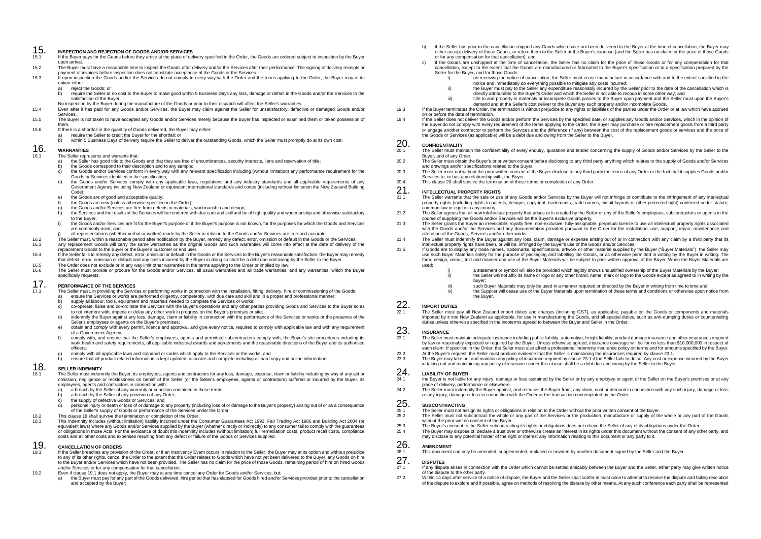## 15. **INSPECTION AND REJECTION OF GOODS AND/OR SERVICES**

- If the Buyer pays for the Goods before they arrive at the place of delivery specified in the Order, the Goods are ordered subject to inspection by the Buyer
- upon arrival.<br>15.2 The Buyer must have a reasonable time to inspect the Goods after delivery and/or the Services after their performance. The signing of delivery receipts or payment of invoices before inspection does not constitute acceptance of the Goods or the Services.<br>Inayment of invoices before inspection does not constitute acceptance of the Goods or the Services.
- 15.3 If upon inspection the Goods and/or the Services do not comply in every way with the Order and the terms applying to the Order, the Buyer may at its option either:
	- a) reject the Goods; or
	- b) require the Seller at no cost to the Buyer to make good within 5 Business Days any loss, damage or defect in the Goods and/or the Services to the satisfaction of the Buyer.
- No inspection by the Buyer during the manufacture of the Goods or prior to their dispatch will affect the Seller's warranties.
- 15.4 Even after it has paid for any Goods and/or Services, the Buyer may claim against the Seller for unsatisfactory, defective or damaged Goods and/or Services.
- 15.5 The Buyer is not taken to have accepted any Goods and/or Services merely because the Buyer has inspected or examined them or taken possession of them.
- 15.6 If there is a shortfall in the quantity of Goods delivered, the Buyer may either:
	- a) require the Seller to credit the Buyer for the shortfall; or
	- within 5 Business Days of delivery require the Seller to deliver the outstanding Goods, which the Seller must promptly do at its own cost.

### 16. **WARRANTIES**

- The Seller represents and warrants that:<br> $\frac{1}{2}$  the Seller has good title to the Good
- a) the Seller has good title to the Goods and that they are free of encumbrances, security interests, liens and reservation of title;<br>b) the Goods correspond to their description and to any sample:
- b) the Goods correspond to their description and to any sample;<br>c) the Goods and/or Services conform in every way with any relevant specification including (without limitation) any performance requirement for the Goods or Services identified in the specification;
- d) the Goods and/or Services comply with any applicable laws, regulations and any industry standards and all applicable requirements of any Government Agency including New Zealand or equivalent international standards and codes (including without limitation the New Zealand Building Code);
- e) the Goods are of good and acceptable quality;
- the Goods are new (unless otherwise specified in the Order);
- 
- g) the Goods and/or Services are free from defects in materials, workmanship and design;<br>h) the Services and the results of the Services will be rendered with due care and skill and be of high quality and workmanship and o to the Buyer;
- i) the Goods and/or Services are fit for the Buyer's purpose or if the Buyer's purpose is not known, for the purposes for which the Goods and Services are commonly used; and
- j) all representations (whether verbal or written) made by the Seller in relation to the Goods and/or Services are true and accurate.
- The Seller must, within a reasonable period after notification by the Buyer, remedy any defect, error, omission or default in the Goods or the Services.<br>16.3 Any replacement Goods will carry the same warranties as the orig
	- 16.3 Any replacement Goods will carry the same warranties as the original Goods and such warranties will come into effect at the date of delivery of the replacement Goods to the Buyer or the Buyer's customer or end user.
- 16.4 If the Seller fails to remedy any defect, error, omission or default in the Goods or the Services to the Buyer's reasonable satisfaction, the Buyer may remedy that defect, error, omission or default and any costs incurred by the Buyer in doing so shall be a debt due and owing by the Seller to the Buyer.
- 16.5 The Order does not exclude or in any way limit other warranties in the terms applying to the Order or implied by law.<br>16.6 The Seller must provide or procure for the Goods and/or Senvices all usual warranties and all
- 16.6 The Seller must provide or procure for the Goods and/or Services, all usual warranties and all trade warranties, and any warranties, which the Buyer specifically requests.

#### 17. **PERFORMANCE OF THE SERVICES**

- 17.1 The Seller must, in providing the Services or performing works in connection with the installation, fitting, delivery, hire or commissioning of the Goods:
	- a) ensure the Services or works are performed diligently, competently, with due care and skill and in a proper and professional manner; b) supply all labour, tools, equipment and materials needed to complete the Services or works;
	- c) co-operate, liaise and co-ordinate the Services with the Buyer's operations and any other parties providing Goods and Services to the Buyer so as to not interfere with, impede or delay any other work in progress on the Buyer's premises or site;
	- d) indemnify the Buyer against any loss, damage, claim or liability in connection with the performance of the Services or works or the presence of the Seller's employees or agents on the Buyer's premises;
	- e) obtain and comply with every permit, licence and approval, and give every notice, required to comply with applicable law and with any requirement of a Government Agency;
	- f) comply with, and ensure that the Seller's employees, agents and permitted subcontractors comply with, the Buyer's site procedures including its work health and safety requirements, all applicable industrial awards and agreements and the reasonable directions of the Buyer and its authorised officers;
	- g) comply with all applicable laws and standard or codes which apply to the Services or the works; and
	- h) ensure that all product related information is kept updated, accurate and complete including all hard copy and online information.

### 18. **SELLER INDEMNITY**

- 18.1 The Seller must indemnify the Buyer, its employees, agents and contractors for any loss, damage, expense, claim or liability including by way of any act or omission, negligence or recklessness on behalf of the Seller (or the Seller's employees, agents or contractors) suffered or incurred by the Buyer, its employees, agents and contractors in connection with:
	- a) a breach by the Seller of any warranty or condition contained in these terms;<br>b) a breach by the Seller of any provision of any Order:
	- a breach by the Seller of any provision of any Order;
	- c) the supply of defective Goods or Services; and
	- personal injury or death or loss of or damage to any property (including loss of or damage to the Buyer's property) arising out of or as a consequence of the Seller's supply of Goods or performance of the Services under the Order.
- 18.2 This clause 18 shall survive the termination or completion of the Order.<br>18.3 This indemnity includes (without limitation) liability incurred under the U
- 18.3 This indemnity includes (without limitation) liability incurred under the Consumer Guarantees Act 1993, Fair Trading Act 1986 and Building Act 2004 (or equivalent laws) where any Goods and/or Services supplied by the Buyer (whether directly or indirectly) to any consumer fail to comply with the guarantees or obligations in those Acts. For the avoidance of doubt this indemnity includes (without limitation) full remediation costs, product recall costs, compliance costs and all other costs and expenses resulting from any defect or failure of the Goods or Services supplied.

### 19. **CANCELLATION OF ORDERS**

- 19.1 If the Seller breaches any provision of the Order, or if an Insolvency Event occurs in relation to the Seller, the Buyer may at its option and without prejudice to any of its other rights, cancel the Order to the extent that the Order relates to Goods which have not yet been delivered to the Buyer, any Goods on hire to the Buyer and/or Services which have not been provided. The Seller has no claim for the price of those Goods, remaining period of hire on hired Goods and/or Services or for any compensation for that cancellation.
- 19.2 Even if clause 19.1 does not apply, the Buyer may at any time cancel any Order for Goods and/or Services, but:
	- a) the Buyer must pay for any part of the Goods delivered, hire period that has elapsed for Goods hired and/or Services provided prior to the cancellation and accepted by the Buyer;
- b) if the Seller has prior to the cancellation shipped any Goods which have not been delivered to the Buyer at the time of cancellation, the Buyer may either accept delivery of those Goods, or return them to the Seller at the Buyer's expense (and the Seller has no claim for the price of those Goods or for any compensation for that cancellation); and
- c) if the Goods are unshipped at the time of cancellation, the Seller has no claim for the price of those Goods or for any compensation for that cancellation, except to the extent that the Goods are manufactured or fabricated to the Buyer's specification or to a specification prepared by the Seller for the Buyer, and for those Goods:
	- i) on receiving the notice of cancellation, the Seller must cease manufacture in accordance with and to the extent specified in the notice and immediately do everything possible to mitigate any costs incurred;
	- ii) the Buyer must pay to the Seller any expenditure reasonably incurred by the Seller prior to the date of the cancellation which is directly attributable to the Buyer's Order and which the Seller is not able to recoup in some other way; and
	- iii) title to and property in materials or incomplete Goods passes to the Buyer upon payment and the Seller must upon the Buyer's demand and at the Seller's cost deliver to the Buyer any such property and/or incomplete Goods.
- 19.3 If the Buyer terminates the Order, the termination is without prejudice to any rights or liabilities of the parties under the Order or at law which have accrued on or before the date of termination.
- If the Seller does not deliver the Goods and/or perform the Services by the specified date, or supplies any Goods and/or Services, which in the opinion of<br>the Buyer do not comply with every requirement of the terms applyin or engage another contractor to perform the Services and the difference (if any) between the cost of the replacement goods or services and the price of the Goods or Services (as applicable) will be a debt due and owing from the Seller to the Buyer.

#### 20. **CONFIDENTIALITY**

- The Seller must maintain the confidentiality of every enquiry, quotation and tender concerning the supply of Goods and/or Services by the Seller to the Buyer, and of any Order.
- 20.2 The Seller must obtain the Buyer's prior written consent before disclosing to any third party anything which relates to the supply of Goods and/or Services
- and drawings and/or specifications related to the Buyer. 20.3 The Seller must not without the prior written consent of the Buyer disclose to any third party the terms of any Order or the fact that it supplies Goods and/or Services to, or has any relationship with, the Buyer.
- 20.4 This clause 20 shall survive the termination of these terms or completion of any Order.

## 21. **INTELLECTUAL PROPERTY RIGHTS**

- 21.1 The Seller warrants that the sale or use of any Goods and/or Services by the Buyer will not infringe or contribute to the infringement of any intellectual property rights (including rights to patents, designs, copyright, trademarks, trade names, circuit layouts or other protected right) conferred under statute,
- common law or equity in any country. 21.2 The Seller agrees that all new intellectual property that arises or is created by the Seller or any of the Seller's employees, subcontractors or agents in the course of supplying the Goods and/or Services will be the Buyer's exclusive property.
- 21.3 The Seller grants the Buyer an irrevocable, royalty free, non-exclusive, fully-assignable, perpetual license to use all intellectual property rights associated with the Goods and/or the Services and any documentation provided pursuant to the Order for the installation, use, support, repair, maintenance and alteration of the Goods, Services and/or other works.
- 21.4 The Seller must indemnify the Buyer against any loss, claim, damage or expense arising out of or in connection with any claim by a third party that its intellectual property rights have been, or will be, infringed by the Buyer's use of the Goods and/or Services.
- 21.5 If Goods are to display any trade names, trademarks, specifications, artwork or other material supplied by the Buyer ("Buyer Materials") the Seller may use such Buyer Materials solely for the purpose of packaging and labelling the Goods, or as otherwise permitted in writing by the Buyer in writing. The form, design, colour, text and manner and use of the Buyer Materials will be subject to prior written approval of the Buyer. When the Buyer Materials are used;
	- a statement or symbol will also be provided which legibly shows unqualified ownership of the Buyer Materials by the Buyer;
		- ii) the Seller will not affix its name or logo or any other brand, name, mark or logo to the Goods except as agreed to in writing by the buyer;
		- iii) such Buyer Materials may only be used in a manner required or directed by the Buyer in writing from time to time and;<br>iv) the Supplier will cease use of the Buver Materials upon termination of these terms and conditio
		- iv) the Supplier will cease use of the Buyer Materials upon termination of these terms and conditions or otherwise upon notice from the Buyer.

## 22. **IMPORT DUTIES**

22.1 The Seller must pay all New Zealand import duties and charges (including GST), as applicable, payable on the Goods or components and materials imported by it into New Zealand as applicable, for use in manufacturing the Goods, and all special duties, such as anti-dumping duties or countervailing<br>duties unless otherwise specified in the incoterms agreed to between

#### 23. **INSURANCE**

- 23.1 The Seller must maintain adequate insurance including public liability, automotive, freight liability, product damage insurance and other insurances required by law or reasonably expected or required by the Buyer. Unless otherwise agreed, insurance coverage will be for no less than \$10,000,000 in respect of each claim. If specified in the Order, the Seller must also affect a professional indemnity insurance policy on terms and for amounts specified by the Buyer.
- 23.2 At the Buyer's request, the Seller must produce evidence that the Seller is maintaining the insurances required by clause 23.1.<br>23.3. The Buyer may take out and maintain any policy of insurance required by clause 23.1
- 23.3 The Buyer may take out and maintain any policy of insurance required by clause 23.1 if the Seller fails to do so. Any cost or expense incurred by the Buyer in taking out and maintaining any policy of insurance under this clause shall be a debt due and owing by the Seller to the Buyer.

### 24. **LIABILITY OF BUYER**

- 24.1 the Buyer is not liable for any injury, damage or loss sustained by the Seller or by any employee or agent of the Seller on the Buyer's premises or at any place of delivery, performance or elsewhere.
- 24.2 The Seller must indemnify the Buyer against, and releases the Buyer from, any claim, cost or demand in connection with any such injury, damage or loss or any injury, damage or loss in connection with the Order or the transaction contemplated by the Order.

## 25. SUBCONTRACTING

- 25.1 The Seller must not assign its rights or obligations in relation to the Order without the prior written consent of the Buyer.<br>25.2 The Seller must not subcontract the whole or any part of the Services or the productio
- 25.2 The Seller must not subcontract the whole or any part of the Services or the production, manufacture or supply of the whole or any part of the Goods without the prior written consent of the Buyer.
- The Buyer's consent to the Seller subcontracting its rights or obligations does not relieve the Seller of any of its obligations under the Order.<br>25.3 The Buyer may dispose of declare a trust over or otherwise create an in
- The Buyer may dispose of, declare a trust over or otherwise create an interest in its rights under this document without the consent of any other party, and may disclose to any potential holder of the right or interest any information relating to this document or any party to it.

## 26. **AMENDMENT**

26.1 This document can only be amended, supplemented, replaced or novated by another document signed by the Seller and the Buyer.

#### 27. **DISPUTES**

- 27.1 If any dispute arises in connection with the Order which cannot be settled amicably between the Buyer and the Seller, either party may give written notice of the dispute to the other party.
- 27.2 Within 14 days after service of a notice of dispute, the Buyer and the Seller shall confer at least once to attempt to resolve the dispute and failing resolution of the dispute to explore and if possible, agree on methods of resolving the dispute by other means. At any such conference each party shall be represented